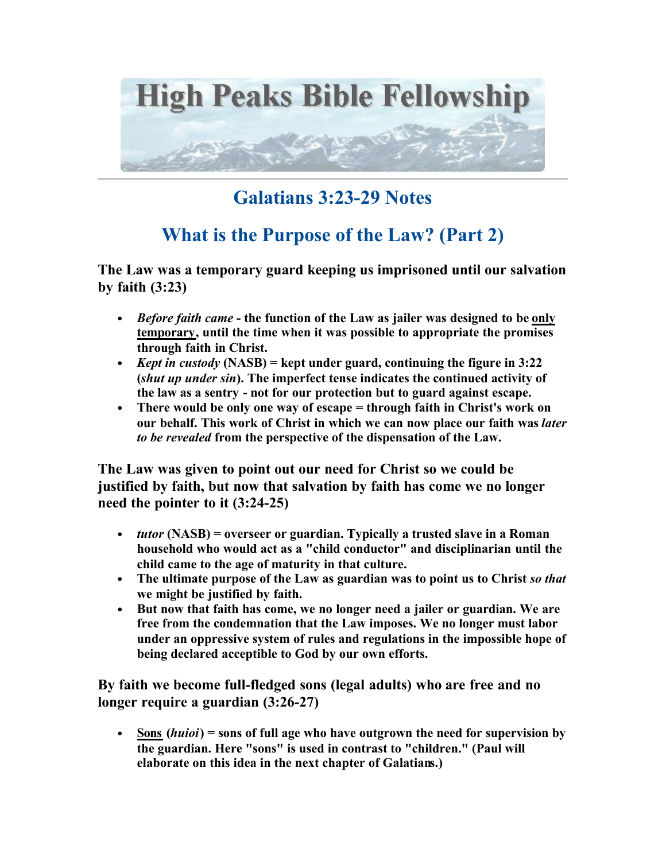

## **Galatians 3:23-29 Notes**

## **What is the Purpose of the Law? (Part 2)**

**The Law was a temporary guard keeping us imprisoned until our salvation by faith (3:23)**

- *Before faith came*  **the function of the Law as jailer was designed to be only temporary, until the time when it was possible to appropriate the promises through faith in Christ.**
- *Kept in custody* **(NASB) = kept under guard, continuing the figure in 3:22 (***shut up under sin***). The imperfect tense indicates the continued activity of the law as a sentry - not for our protection but to guard against escape.**
- **There would be only one way of escape = through faith in Christ's work on our behalf. This work of Christ in which we can now place our faith was** *later to be revealed* **from the perspective of the dispensation of the Law.**

**The Law was given to point out our need for Christ so we could be justified by faith, but now that salvation by faith has come we no longer need the pointer to it (3:24-25)**

- *tutor* **(NASB) = overseer or guardian. Typically a trusted slave in a Roman household who would act as a "child conductor" and disciplinarian until the child came to the age of maturity in that culture.**
- **The ultimate purpose of the Law as guardian was to point us to Christ** *so that* **we might be justified by faith.**
- **But now that faith has come, we no longer need a jailer or guardian. We are free from the condemnation that the Law imposes. We no longer must labor under an oppressive system of rules and regulations in the impossible hope of being declared acceptible to God by our own efforts.**

**By faith we become full-fledged sons (legal adults) who are free and no longer require a guardian (3:26-27)**

• **Sons (***huioi***) = sons of full age who have outgrown the need for supervision by the guardian. Here "sons" is used in contrast to "children." (Paul will elaborate on this idea in the next chapter of Galatians.)**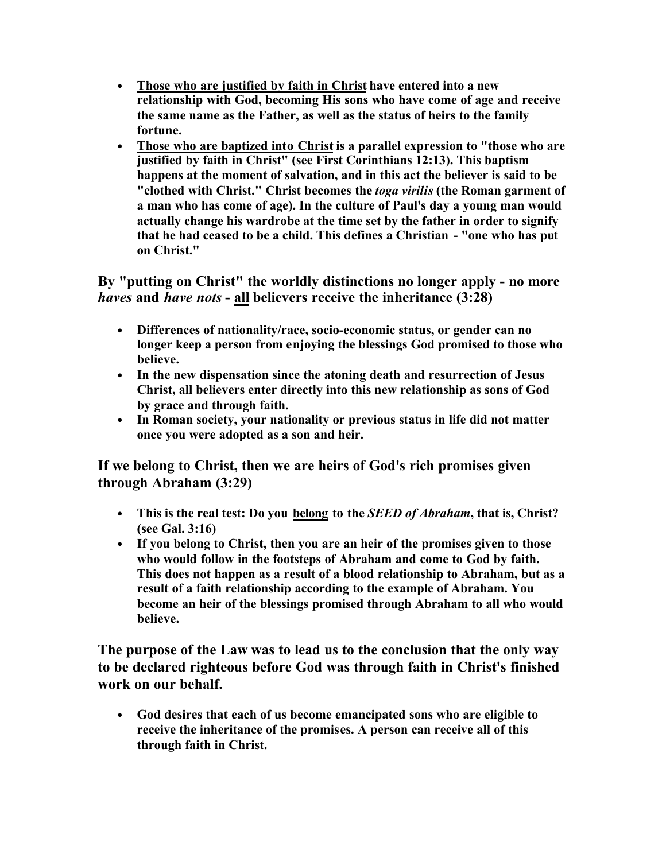- **Those who are justified by faith in Christ have entered into a new relationship with God, becoming His sons who have come of age and receive the same name as the Father, as well as the status of heirs to the family fortune.**
- **Those who are baptized into Christ is a parallel expression to "those who are justified by faith in Christ" (see First Corinthians 12:13). This baptism happens at the moment of salvation, and in this act the believer is said to be "clothed with Christ." Christ becomes the** *toga virilis* **(the Roman garment of a man who has come of age). In the culture of Paul's day a young man would actually change his wardrobe at the time set by the father in order to signify that he had ceased to be a child. This defines a Christian - "one who has put on Christ."**

**By "putting on Christ" the worldly distinctions no longer apply - no more**  *haves* **and** *have nots* **- all believers receive the inheritance (3:28)**

- **Differences of nationality/race, socio-economic status, or gender can no longer keep a person from enjoying the blessings God promised to those who believe.**
- **In the new dispensation since the atoning death and resurrection of Jesus Christ, all believers enter directly into this new relationship as sons of God by grace and through faith.**
- **In Roman society, your nationality or previous status in life did not matter once you were adopted as a son and heir.**

**If we belong to Christ, then we are heirs of God's rich promises given through Abraham (3:29)**

- **This is the real test: Do you belong to the** *SEED of Abraham***, that is, Christ? (see Gal. 3:16)**
- **If you belong to Christ, then you are an heir of the promises given to those who would follow in the footsteps of Abraham and come to God by faith. This does not happen as a result of a blood relationship to Abraham, but as a result of a faith relationship according to the example of Abraham. You become an heir of the blessings promised through Abraham to all who would believe.**

**The purpose of the Law was to lead us to the conclusion that the only way to be declared righteous before God was through faith in Christ's finished work on our behalf.**

• **God desires that each of us become emancipated sons who are eligible to receive the inheritance of the promises. A person can receive all of this through faith in Christ.**